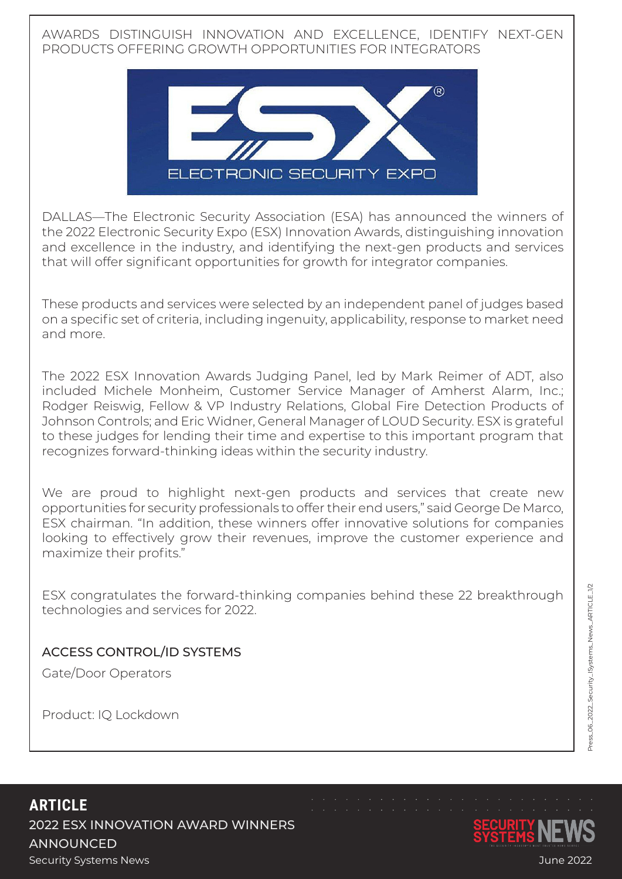AWARDS DISTINGUISH INNOVATION AND EXCELLENCE, IDENTIFY NEXT-GEN PRODUCTS OFFERING GROWTH OPPORTUNITIES FOR INTEGRATORS



DALLAS—The Electronic Security Association (ESA) has announced the winners of the 2022 Electronic Security Expo (ESX) Innovation Awards, distinguishing innovation and excellence in the industry, and identifying the next-gen products and services that will offer significant opportunities for growth for integrator companies.

These products and services were selected by an independent panel of judges based on a specific set of criteria, including ingenuity, applicability, response to market need and more.

The 2022 ESX Innovation Awards Judging Panel, led by Mark Reimer of ADT, also included Michele Monheim, Customer Service Manager of Amherst Alarm, Inc.; Rodger Reiswig, Fellow & VP Industry Relations, Global Fire Detection Products of Johnson Controls; and Eric Widner, General Manager of LOUD Security. ESX is grateful to these judges for lending their time and expertise to this important program that recognizes forward-thinking ideas within the security industry.

We are proud to highlight next-gen products and services that create new opportunities for security professionals to offer their end users," said George De Marco, ESX chairman. "In addition, these winners offer innovative solutions for companies looking to effectively grow their revenues, improve the customer experience and maximize their profits."

ESX congratulates the forward-thinking companies behind these 22 breakthrough technologies and services for 2022.

## ACCESS CONTROL/ID SYSTEMS

Gate/Door Operators

Product: IQ Lockdown

**ARTICLE** 2022 ESX INNOVATION AWARD WINNERS **ANNOUNCED** Security Systems News June 2022